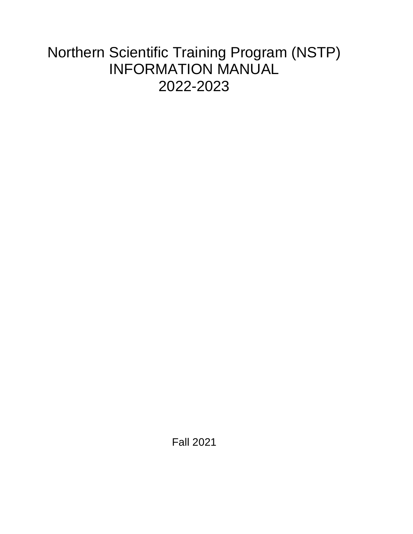# Northern Scientific Training Program (NSTP) INFORMATION MANUAL 2022-2023

Fall 2021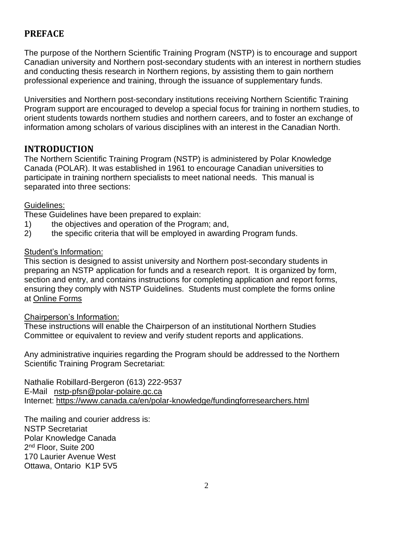# **PREFACE**

The purpose of the Northern Scientific Training Program (NSTP) is to encourage and support Canadian university and Northern post-secondary students with an interest in northern studies and conducting thesis research in Northern regions, by assisting them to gain northern professional experience and training, through the issuance of supplementary funds.

Universities and Northern post-secondary institutions receiving Northern Scientific Training Program support are encouraged to develop a special focus for training in northern studies, to orient students towards northern studies and northern careers, and to foster an exchange of information among scholars of various disciplines with an interest in the Canadian North.

# **INTRODUCTION**

The Northern Scientific Training Program (NSTP) is administered by Polar Knowledge Canada (POLAR). It was established in 1961 to encourage Canadian universities to participate in training northern specialists to meet national needs. This manual is separated into three sections:

#### Guidelines:

These Guidelines have been prepared to explain:

- 1) the objectives and operation of the Program; and,
- 2) the specific criteria that will be employed in awarding Program funds.

#### Student's Information:

This section is designed to assist university and Northern post-secondary students in preparing an NSTP application for funds and a research report. It is organized by form, section and entry, and contains instructions for completing application and report forms, ensuring they comply with NSTP Guidelines. Students must complete the forms online at [Online Forms](https://nstp-pfsn.smapply.io/acc/l/?next=/acc/sr/)

#### Chairperson's Information:

These instructions will enable the Chairperson of an institutional Northern Studies Committee or equivalent to review and verify student reports and applications.

Any administrative inquiries regarding the Program should be addressed to the Northern Scientific Training Program Secretariat:

Nathalie Robillard-Bergeron (613) 222-9537 E-Mail [nstp-pfsn@polar-polaire.gc.ca](mailto:nstp-pfsn@polar-polaire.gc.ca) Internet:<https://www.canada.ca/en/polar-knowledge/fundingforresearchers.html>

The mailing and courier address is: NSTP Secretariat Polar Knowledge Canada 2<sup>nd</sup> Floor, Suite 200 170 Laurier Avenue West Ottawa, Ontario K1P 5V5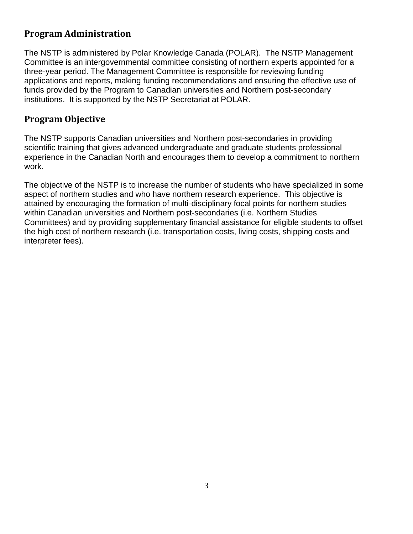# **Program Administration**

The NSTP is administered by Polar Knowledge Canada (POLAR). The NSTP Management Committee is an intergovernmental committee consisting of northern experts appointed for a three-year period. The Management Committee is responsible for reviewing funding applications and reports, making funding recommendations and ensuring the effective use of funds provided by the Program to Canadian universities and Northern post-secondary institutions. It is supported by the NSTP Secretariat at POLAR.

# **Program Objective**

The NSTP supports Canadian universities and Northern post-secondaries in providing scientific training that gives advanced undergraduate and graduate students professional experience in the Canadian North and encourages them to develop a commitment to northern work.

The objective of the NSTP is to increase the number of students who have specialized in some aspect of northern studies and who have northern research experience. This objective is attained by encouraging the formation of multi-disciplinary focal points for northern studies within Canadian universities and Northern post-secondaries (i.e. Northern Studies Committees) and by providing supplementary financial assistance for eligible students to offset the high cost of northern research (i.e. transportation costs, living costs, shipping costs and interpreter fees).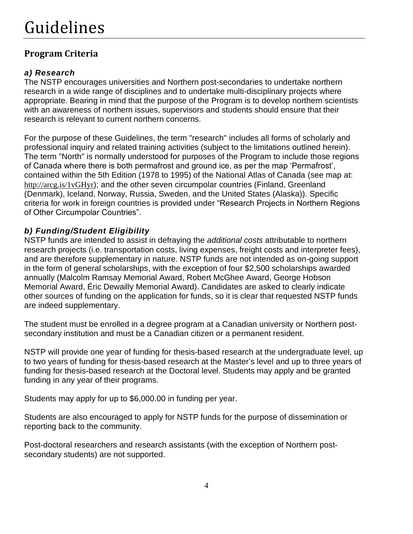# **Program Criteria**

# *a) Research*

The NSTP encourages universities and Northern post-secondaries to undertake northern research in a wide range of disciplines and to undertake multi-disciplinary projects where appropriate. Bearing in mind that the purpose of the Program is to develop northern scientists with an awareness of northern issues, supervisors and students should ensure that their research is relevant to current northern concerns.

For the purpose of these Guidelines, the term "research" includes all forms of scholarly and professional inquiry and related training activities (subject to the limitations outlined herein). The term "North" is normally understood for purposes of the Program to include those regions of Canada where there is both permafrost and ground ice, as per the map 'Permafrost', contained within the 5th Edition (1978 to 1995) of the National Atlas of Canada (see map at: <http://arcg.is/1vGHyr>); and the other seven circumpolar countries (Finland, Greenland (Denmark), Iceland, Norway, Russia, Sweden, and the United States (Alaska)). Specific criteria for work in foreign countries is provided under "Research Projects in Northern Regions of Other Circumpolar Countries".

# *b) Funding/Student Eligibility*

NSTP funds are intended to assist in defraying the *additional costs* attributable to northern research projects (i.e. transportation costs, living expenses, freight costs and interpreter fees), and are therefore supplementary in nature. NSTP funds are not intended as on-going support in the form of general scholarships, with the exception of four \$2,500 scholarships awarded annually (Malcolm Ramsay Memorial Award, Robert McGhee Award, George Hobson Memorial Award, Éric Dewailly Memorial Award). Candidates are asked to clearly indicate other sources of funding on the application for funds, so it is clear that requested NSTP funds are indeed supplementary.

The student must be enrolled in a degree program at a Canadian university or Northern postsecondary institution and must be a Canadian citizen or a permanent resident.

NSTP will provide one year of funding for thesis-based research at the undergraduate level, up to two years of funding for thesis-based research at the Master's level and up to three years of funding for thesis-based research at the Doctoral level. Students may apply and be granted funding in any year of their programs.

Students may apply for up to \$6,000.00 in funding per year.

Students are also encouraged to apply for NSTP funds for the purpose of dissemination or reporting back to the community.

Post-doctoral researchers and research assistants (with the exception of Northern postsecondary students) are not supported.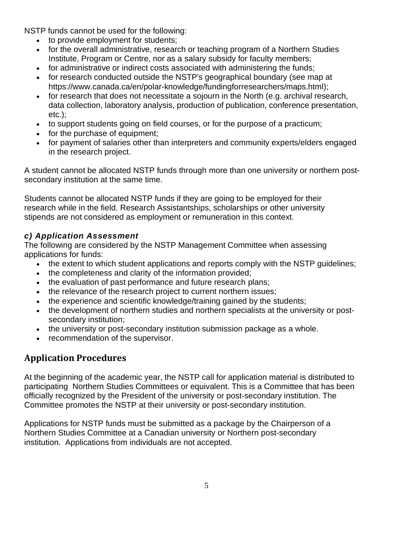NSTP funds cannot be used for the following:

- to provide employment for students;
- for the overall administrative, research or teaching program of a Northern Studies Institute, Program or Centre, nor as a salary subsidy for faculty members;
- for administrative or indirect costs associated with administering the funds;
- for research conducted outside the NSTP's geographical boundary (see map at https://www.canada.ca/en/polar-knowledge/fundingforresearchers/maps.html);
- for research that does not necessitate a sojourn in the North (e.g. archival research, data collection, laboratory analysis, production of publication, conference presentation, etc.);
- to support students going on field courses, or for the purpose of a practicum;
- for the purchase of equipment;
- for payment of salaries other than interpreters and community experts/elders engaged in the research project.

A student cannot be allocated NSTP funds through more than one university or northern postsecondary institution at the same time.

Students cannot be allocated NSTP funds if they are going to be employed for their research while in the field. Research Assistantships, scholarships or other university stipends are not considered as employment or remuneration in this context.

### *c) Application Assessment*

The following are considered by the NSTP Management Committee when assessing applications for funds:

- the extent to which student applications and reports comply with the NSTP quidelines;
	- the completeness and clarity of the information provided;
- the evaluation of past performance and future research plans:
- the relevance of the research project to current northern issues;
- the experience and scientific knowledge/training gained by the students;
- the development of northern studies and northern specialists at the university or postsecondary institution;
- the university or post-secondary institution submission package as a whole.
- recommendation of the supervisor.

# **Application Procedures**

At the beginning of the academic year, the NSTP call for application material is distributed to participating Northern Studies Committees or equivalent. This is a Committee that has been officially recognized by the President of the university or post-secondary institution. The Committee promotes the NSTP at their university or post-secondary institution.

Applications for NSTP funds must be submitted as a package by the Chairperson of a Northern Studies Committee at a Canadian university or Northern post-secondary institution. Applications from individuals are not accepted.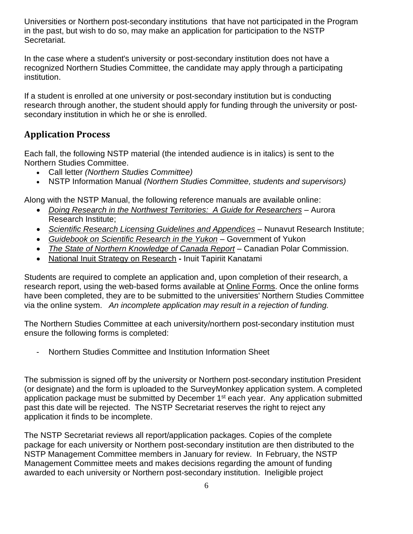Universities or Northern post-secondary institutions that have not participated in the Program in the past, but wish to do so, may make an application for participation to the NSTP Secretariat.

In the case where a student's university or post-secondary institution does not have a recognized Northern Studies Committee, the candidate may apply through a participating institution.

If a student is enrolled at one university or post-secondary institution but is conducting research through another, the student should apply for funding through the university or postsecondary institution in which he or she is enrolled.

# **Application Process**

Each fall, the following NSTP material (the intended audience is in italics) is sent to the Northern Studies Committee.

- Call letter *(Northern Studies Committee)*
- NSTP Information Manual *(Northern Studies Committee, students and supervisors)*

Along with the NSTP Manual, the following reference manuals are available online:

- *[Doing Research in the Northwest Territories:](https://nwtresearch.com/sites/default/files/doing-research-in-the-northwest-territories.pdf) A Guide for Researchers* Aurora Research Institute;
- *[Scientific Research Licensing Guidelines and Appendices](https://www.nri.nu.ca/licencing-resources)* Nunavut Research Institute;
- *[Guidebook on Scientific Research in the Yukon](http://www.tc.gov.yk.ca/publications/Guidebook_on_Scientific_Research_2013.pdf) –* Government of Yukon
- *[The State of Northern Knowledge of Canada Report](https://www.canada.ca/en/polar-knowledge/publications/stateofnorthernknowledge2014.html) –* Canadian Polar Commission.
- National Inuit [Strategy on Research](https://www.itk.ca/national-inuit-strategy-on-research/) **-** Inuit Tapiriit Kanatami

Students are required to complete an application and, upon completion of their research, a research report, using the web-based forms available at **Online Forms**. Once the online forms have been completed, they are to be submitted to the universities' Northern Studies Committee via the online system. *An incomplete application may result in a rejection of funding.*

The Northern Studies Committee at each university/northern post-secondary institution must ensure the following forms is completed:

- Northern Studies Committee and Institution Information Sheet

The submission is signed off by the university or Northern post-secondary institution President (or designate) and the form is uploaded to the SurveyMonkey application system. A completed application package must be submitted by December  $1<sup>st</sup>$  each year. Any application submitted past this date will be rejected. The NSTP Secretariat reserves the right to reject any application it finds to be incomplete.

The NSTP Secretariat reviews all report/application packages. Copies of the complete package for each university or Northern post-secondary institution are then distributed to the NSTP Management Committee members in January for review. In February, the NSTP Management Committee meets and makes decisions regarding the amount of funding awarded to each university or Northern post-secondary institution. Ineligible project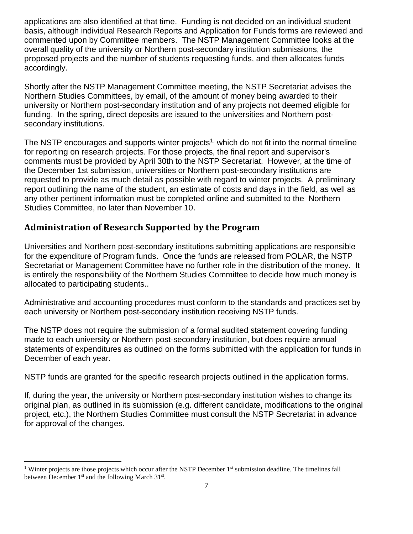applications are also identified at that time. Funding is not decided on an individual student basis, although individual Research Reports and Application for Funds forms are reviewed and commented upon by Committee members. The NSTP Management Committee looks at the overall quality of the university or Northern post-secondary institution submissions, the proposed projects and the number of students requesting funds, and then allocates funds accordingly.

Shortly after the NSTP Management Committee meeting, the NSTP Secretariat advises the Northern Studies Committees, by email, of the amount of money being awarded to their university or Northern post-secondary institution and of any projects not deemed eligible for funding. In the spring, direct deposits are issued to the universities and Northern postsecondary institutions.

The NSTP encourages and supports winter projects<sup>1,</sup> which do not fit into the normal timeline for reporting on research projects. For those projects, the final report and supervisor's comments must be provided by April 30th to the NSTP Secretariat. However, at the time of the December 1st submission, universities or Northern post-secondary institutions are requested to provide as much detail as possible with regard to winter projects. A preliminary report outlining the name of the student, an estimate of costs and days in the field, as well as any other pertinent information must be completed online and submitted to the Northern Studies Committee, no later than November 10.

# **Administration of Research Supported by the Program**

Universities and Northern post-secondary institutions submitting applications are responsible for the expenditure of Program funds. Once the funds are released from POLAR, the NSTP Secretariat or Management Committee have no further role in the distribution of the money. It is entirely the responsibility of the Northern Studies Committee to decide how much money is allocated to participating students..

Administrative and accounting procedures must conform to the standards and practices set by each university or Northern post-secondary institution receiving NSTP funds.

The NSTP does not require the submission of a formal audited statement covering funding made to each university or Northern post-secondary institution, but does require annual statements of expenditures as outlined on the forms submitted with the application for funds in December of each year.

NSTP funds are granted for the specific research projects outlined in the application forms.

If, during the year, the university or Northern post-secondary institution wishes to change its original plan, as outlined in its submission (e.g. different candidate, modifications to the original project, etc.), the Northern Studies Committee must consult the NSTP Secretariat in advance for approval of the changes.

<sup>&</sup>lt;sup>1</sup> Winter projects are those projects which occur after the NSTP December  $1<sup>st</sup>$  submission deadline. The timelines fall between December 1<sup>st</sup> and the following March 31<sup>st</sup>.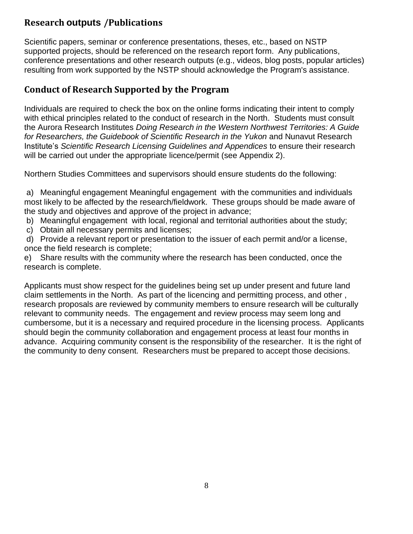# **Research outputs /Publications**

Scientific papers, seminar or conference presentations, theses, etc., based on NSTP supported projects, should be referenced on the research report form. Any publications, conference presentations and other research outputs (e.g., videos, blog posts, popular articles) resulting from work supported by the NSTP should acknowledge the Program's assistance.

# **Conduct of Research Supported by the Program**

Individuals are required to check the box on the online forms indicating their intent to comply with ethical principles related to the conduct of research in the North. Students must consult the Aurora Research Institutes *Doing Research in the Western Northwest Territories: A Guide for Researchers, the Guidebook of Scientific Research in the Yukon* and Nunavut Research Institute's *Scientific Research Licensing Guidelines and Appendices* to ensure their research will be carried out under the appropriate licence/permit (see Appendix 2).

Northern Studies Committees and supervisors should ensure students do the following:

a) Meaningful engagement Meaningful engagement with the communities and individuals most likely to be affected by the research/fieldwork. These groups should be made aware of the study and objectives and approve of the project in advance;

- b) Meaningful engagement with local, regional and territorial authorities about the study;
- c) Obtain all necessary permits and licenses;

d) Provide a relevant report or presentation to the issuer of each permit and/or a license, once the field research is complete;

e) Share results with the community where the research has been conducted, once the research is complete.

Applicants must show respect for the guidelines being set up under present and future land claim settlements in the North. As part of the licencing and permitting process, and other , research proposals are reviewed by community members to ensure research will be culturally relevant to community needs. The engagement and review process may seem long and cumbersome, but it is a necessary and required procedure in the licensing process. Applicants should begin the community collaboration and engagement process at least four months in advance. Acquiring community consent is the responsibility of the researcher. It is the right of the community to deny consent. Researchers must be prepared to accept those decisions.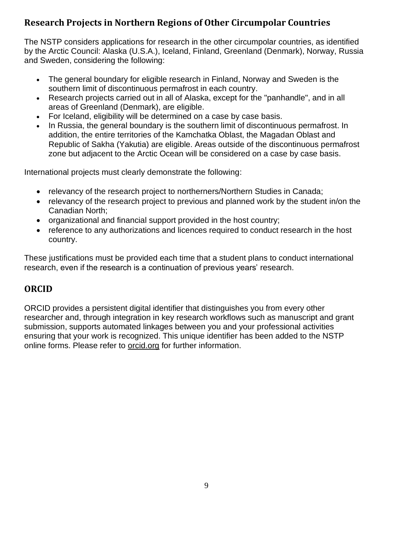# **Research Projects in Northern Regions of Other Circumpolar Countries**

The NSTP considers applications for research in the other circumpolar countries, as identified by the Arctic Council: Alaska (U.S.A.), Iceland, Finland, Greenland (Denmark), Norway, Russia and Sweden, considering the following:

- The general boundary for eligible research in Finland, Norway and Sweden is the southern limit of discontinuous permafrost in each country.
- Research projects carried out in all of Alaska, except for the "panhandle", and in all areas of Greenland (Denmark), are eligible.
- For Iceland, eligibility will be determined on a case by case basis.
- In Russia, the general boundary is the southern limit of discontinuous permafrost. In addition, the entire territories of the Kamchatka Oblast, the Magadan Oblast and Republic of Sakha (Yakutia) are eligible. Areas outside of the discontinuous permafrost zone but adjacent to the Arctic Ocean will be considered on a case by case basis.

International projects must clearly demonstrate the following:

- relevancy of the research project to northerners/Northern Studies in Canada;
- relevancy of the research project to previous and planned work by the student in/on the Canadian North;
- organizational and financial support provided in the host country;
- reference to any authorizations and licences required to conduct research in the host country.

These justifications must be provided each time that a student plans to conduct international research, even if the research is a continuation of previous years' research.

# **ORCID**

ORCID provides a persistent digital identifier that distinguishes you from every other researcher and, through integration in key research workflows such as manuscript and grant submission, supports automated linkages between you and your professional activities ensuring that your work is recognized. This unique identifier has been added to the NSTP online forms. Please refer to [orcid.org](http://www.orcid.org/) for further information.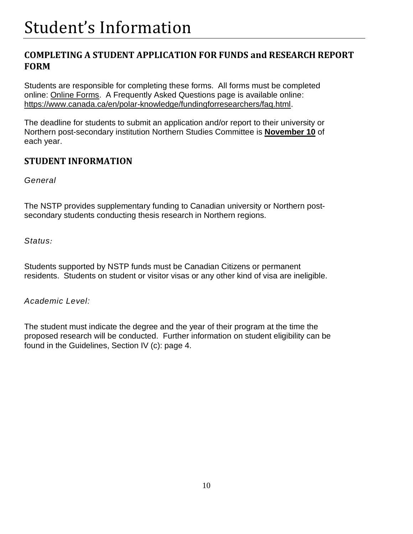# **COMPLETING A STUDENT APPLICATION FOR FUNDS and RESEARCH REPORT FORM**

Students are responsible for completing these forms. All forms must be completed online: [Online Forms.](https://nstp-pfsn.smapply.io/) A Frequently Asked Questions page is available online: [https://www.canada.ca/en/polar-knowledge/fundingforresearchers/faq.html.](https://www.canada.ca/en/polar-knowledge/fundingforresearchers/faq.html)

The deadline for students to submit an application and/or report to their university or Northern post-secondary institution Northern Studies Committee is **November 10** of each year.

# **STUDENT INFORMATION**

*General*

The NSTP provides supplementary funding to Canadian university or Northern postsecondary students conducting thesis research in Northern regions.

*Status:*

Students supported by NSTP funds must be Canadian Citizens or permanent residents. Students on student or visitor visas or any other kind of visa are ineligible.

*Academic Level:*

The student must indicate the degree and the year of their program at the time the proposed research will be conducted. Further information on student eligibility can be found in the Guidelines, Section IV (c): page 4.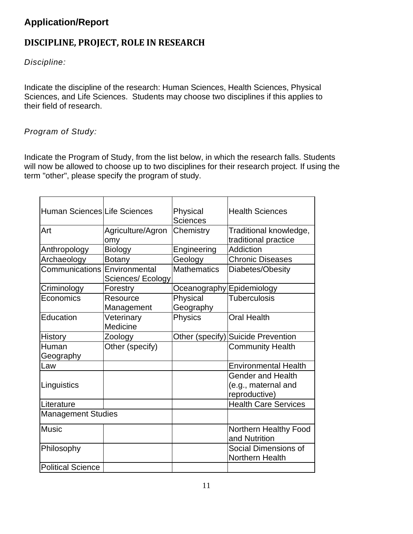# **Application/Report**

# **DISCIPLINE, PROJECT, ROLE IN RESEARCH**

*Discipline:*

Indicate the discipline of the research: Human Sciences, Health Sciences, Physical Sciences, and Life Sciences. Students may choose two disciplines if this applies to their field of research.

### *Program of Study:*

Indicate the Program of Study, from the list below, in which the research falls. Students will now be allowed to choose up to two disciplines for their research project. If using the term "other", please specify the program of study.

| Human Sciences Life Sciences |                          | Physical<br><b>Sciences</b> | <b>Health Sciences</b>                                           |
|------------------------------|--------------------------|-----------------------------|------------------------------------------------------------------|
| Art                          | Agriculture/Agron<br>omy | Chemistry                   | Traditional knowledge,<br>traditional practice                   |
| Anthropology                 | <b>Biology</b>           | Engineering                 | Addiction                                                        |
| Archaeology                  | <b>Botany</b>            | Geology                     | <b>Chronic Diseases</b>                                          |
| Communications Environmental | Sciences/Ecology         | <b>Mathematics</b>          | Diabetes/Obesity                                                 |
| Criminology                  | Forestry                 | Oceanography Epidemiology   |                                                                  |
| Economics                    | Resource<br>Management   | Physical<br>Geography       | <b>Tuberculosis</b>                                              |
| Education                    | Veterinary<br>Medicine   | <b>Physics</b>              | <b>Oral Health</b>                                               |
| <b>History</b>               | Zoology                  | Other (specify)             | <b>Suicide Prevention</b>                                        |
| Human                        | Other (specify)          |                             | <b>Community Health</b>                                          |
| Geography                    |                          |                             |                                                                  |
| Law                          |                          |                             | <b>Environmental Health</b>                                      |
| Linguistics                  |                          |                             | <b>Gender and Health</b><br>(e.g., maternal and<br>reproductive) |
| Literature                   |                          |                             | <b>Health Care Services</b>                                      |
| <b>Management Studies</b>    |                          |                             |                                                                  |
| <b>Music</b>                 |                          |                             | Northern Healthy Food<br>and Nutrition                           |
| Philosophy                   |                          |                             | Social Dimensions of<br>Northern Health                          |
| <b>Political Science</b>     |                          |                             |                                                                  |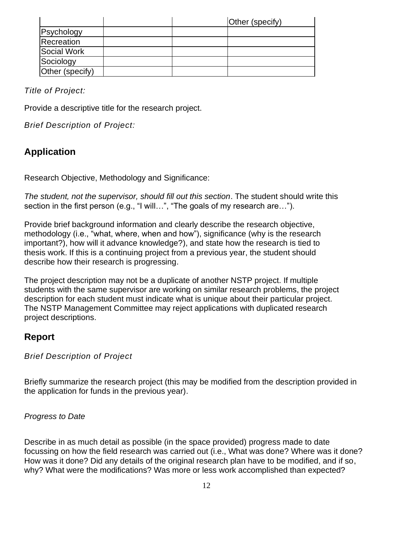|                 |  | Other (specify) |
|-----------------|--|-----------------|
| Psychology      |  |                 |
| Recreation      |  |                 |
| Social Work     |  |                 |
| Sociology       |  |                 |
| Other (specify) |  |                 |

*Title of Project:*

Provide a descriptive title for the research project.

*Brief Description of Project:*

# **Application**

Research Objective, Methodology and Significance:

*The student, not the supervisor, should fill out this section*. The student should write this section in the first person (e.g., "I will…", "The goals of my research are…").

Provide brief background information and clearly describe the research objective, methodology (i.e., "what, where, when and how"), significance (why is the research important?), how will it advance knowledge?), and state how the research is tied to thesis work. If this is a continuing project from a previous year, the student should describe how their research is progressing.

The project description may not be a duplicate of another NSTP project. If multiple students with the same supervisor are working on similar research problems, the project description for each student must indicate what is unique about their particular project. The NSTP Management Committee may reject applications with duplicated research project descriptions.

# **Report**

*Brief Description of Project*

Briefly summarize the research project (this may be modified from the description provided in the application for funds in the previous year).

#### *Progress to Date*

Describe in as much detail as possible (in the space provided) progress made to date focussing on how the field research was carried out (i.e., What was done? Where was it done? How was it done? Did any details of the original research plan have to be modified, and if so, why? What were the modifications? Was more or less work accomplished than expected?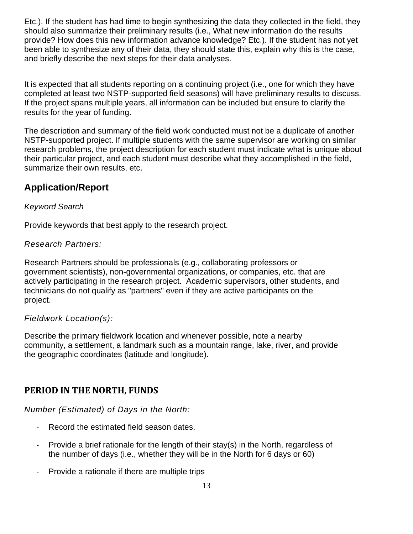Etc.). If the student has had time to begin synthesizing the data they collected in the field, they should also summarize their preliminary results (i.e., What new information do the results provide? How does this new information advance knowledge? Etc.). If the student has not yet been able to synthesize any of their data, they should state this, explain why this is the case, and briefly describe the next steps for their data analyses.

It is expected that all students reporting on a continuing project (i.e., one for which they have completed at least two NSTP-supported field seasons) will have preliminary results to discuss. If the project spans multiple years, all information can be included but ensure to clarify the results for the year of funding.

The description and summary of the field work conducted must not be a duplicate of another NSTP-supported project. If multiple students with the same supervisor are working on similar research problems, the project description for each student must indicate what is unique about their particular project, and each student must describe what they accomplished in the field, summarize their own results, etc.

# **Application/Report**

### *Keyword Search*

Provide keywords that best apply to the research project.

### *Research Partners:*

Research Partners should be professionals (e.g., collaborating professors or government scientists), non-governmental organizations, or companies, etc. that are actively participating in the research project. Academic supervisors, other students, and technicians do not qualify as "partners" even if they are active participants on the project.

### *Fieldwork Location(s):*

Describe the primary fieldwork location and whenever possible, note a nearby community, a settlement, a landmark such as a mountain range, lake, river, and provide the geographic coordinates (latitude and longitude).

# **PERIOD IN THE NORTH, FUNDS**

*Number (Estimated) of Days in the North:*

- Record the estimated field season dates.
- Provide a brief rationale for the length of their stay(s) in the North, regardless of the number of days (i.e., whether they will be in the North for 6 days or 60)
- Provide a rationale if there are multiple trips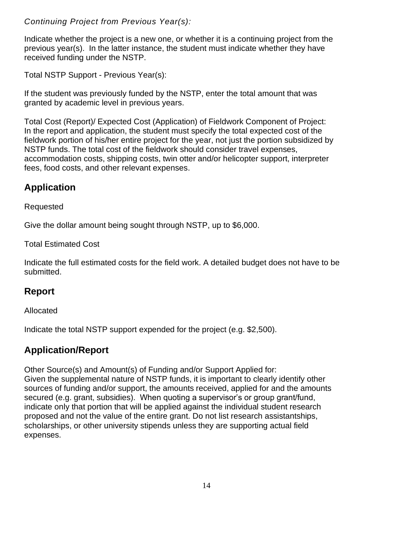*Continuing Project from Previous Year(s):*

Indicate whether the project is a new one, or whether it is a continuing project from the previous year(s). In the latter instance, the student must indicate whether they have received funding under the NSTP.

Total NSTP Support - Previous Year(s):

If the student was previously funded by the NSTP, enter the total amount that was granted by academic level in previous years.

Total Cost (Report)/ Expected Cost (Application) of Fieldwork Component of Project: In the report and application, the student must specify the total expected cost of the fieldwork portion of his/her entire project for the year, not just the portion subsidized by NSTP funds. The total cost of the fieldwork should consider travel expenses, accommodation costs, shipping costs, twin otter and/or helicopter support, interpreter fees, food costs, and other relevant expenses.

# **Application**

### Requested

Give the dollar amount being sought through NSTP, up to \$6,000.

Total Estimated Cost

Indicate the full estimated costs for the field work. A detailed budget does not have to be submitted.

# **Report**

Allocated

Indicate the total NSTP support expended for the project (e.g. \$2,500).

# **Application/Report**

Other Source(s) and Amount(s) of Funding and/or Support Applied for: Given the supplemental nature of NSTP funds, it is important to clearly identify other sources of funding and/or support, the amounts received, applied for and the amounts secured (e.g. grant, subsidies). When quoting a supervisor's or group grant/fund, indicate only that portion that will be applied against the individual student research proposed and not the value of the entire grant. Do not list research assistantships, scholarships, or other university stipends unless they are supporting actual field expenses.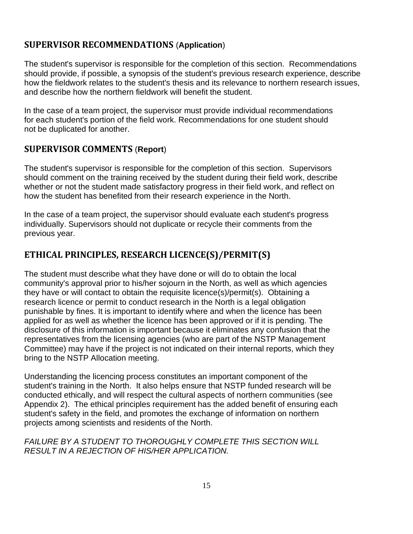# **SUPERVISOR RECOMMENDATIONS** (**Application**)

The student's supervisor is responsible for the completion of this section. Recommendations should provide, if possible, a synopsis of the student's previous research experience, describe how the fieldwork relates to the student's thesis and its relevance to northern research issues, and describe how the northern fieldwork will benefit the student.

In the case of a team project, the supervisor must provide individual recommendations for each student's portion of the field work. Recommendations for one student should not be duplicated for another.

### **SUPERVISOR COMMENTS** (**Report**)

The student's supervisor is responsible for the completion of this section. Supervisors should comment on the training received by the student during their field work, describe whether or not the student made satisfactory progress in their field work, and reflect on how the student has benefited from their research experience in the North.

In the case of a team project, the supervisor should evaluate each student's progress individually. Supervisors should not duplicate or recycle their comments from the previous year.

# **ETHICAL PRINCIPLES, RESEARCH LICENCE(S)/PERMIT(S)**

The student must describe what they have done or will do to obtain the local community's approval prior to his/her sojourn in the North, as well as which agencies they have or will contact to obtain the requisite licence(s)/permit(s). Obtaining a research licence or permit to conduct research in the North is a legal obligation punishable by fines. It is important to identify where and when the licence has been applied for as well as whether the licence has been approved or if it is pending. The disclosure of this information is important because it eliminates any confusion that the representatives from the licensing agencies (who are part of the NSTP Management Committee) may have if the project is not indicated on their internal reports, which they bring to the NSTP Allocation meeting.

Understanding the licencing process constitutes an important component of the student's training in the North. It also helps ensure that NSTP funded research will be conducted ethically, and will respect the cultural aspects of northern communities (see Appendix 2). The ethical principles requirement has the added benefit of ensuring each student's safety in the field, and promotes the exchange of information on northern projects among scientists and residents of the North.

#### *FAILURE BY A STUDENT TO THOROUGHLY COMPLETE THIS SECTION WILL RESULT IN A REJECTION OF HIS/HER APPLICATION.*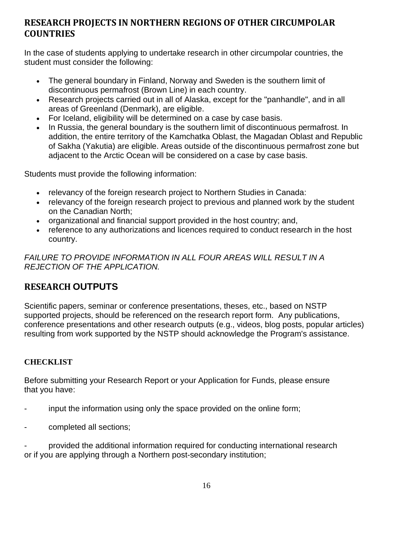# **RESEARCH PROJECTS IN NORTHERN REGIONS OF OTHER CIRCUMPOLAR COUNTRIES**

In the case of students applying to undertake research in other circumpolar countries, the student must consider the following:

- The general boundary in Finland, Norway and Sweden is the southern limit of discontinuous permafrost (Brown Line) in each country.
- Research projects carried out in all of Alaska, except for the "panhandle", and in all areas of Greenland (Denmark), are eligible.
- For Iceland, eligibility will be determined on a case by case basis.
- In Russia, the general boundary is the southern limit of discontinuous permafrost. In addition, the entire territory of the Kamchatka Oblast, the Magadan Oblast and Republic of Sakha (Yakutia) are eligible. Areas outside of the discontinuous permafrost zone but adjacent to the Arctic Ocean will be considered on a case by case basis.

Students must provide the following information:

- relevancy of the foreign research project to Northern Studies in Canada:
- relevancy of the foreign research project to previous and planned work by the student on the Canadian North;
- organizational and financial support provided in the host country; and,
- reference to any authorizations and licences required to conduct research in the host country.

*FAILURE TO PROVIDE INFORMATION IN ALL FOUR AREAS WILL RESULT IN A REJECTION OF THE APPLICATION.*

# **RESEARCH OUTPUTS**

Scientific papers, seminar or conference presentations, theses, etc., based on NSTP supported projects, should be referenced on the research report form. Any publications, conference presentations and other research outputs (e.g., videos, blog posts, popular articles) resulting from work supported by the NSTP should acknowledge the Program's assistance.

# **CHECKLIST**

Before submitting your Research Report or your Application for Funds, please ensure that you have:

- input the information using only the space provided on the online form;
- completed all sections;

provided the additional information required for conducting international research or if you are applying through a Northern post-secondary institution;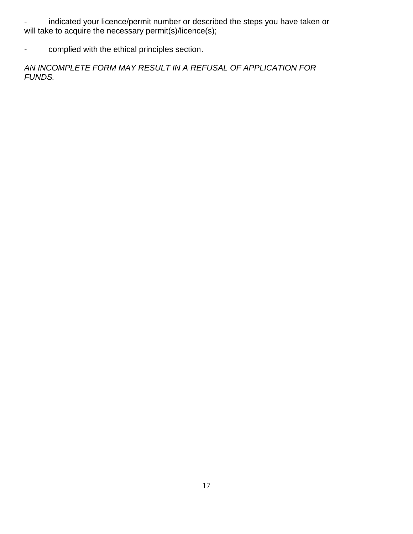indicated your licence/permit number or described the steps you have taken or will take to acquire the necessary permit(s)/licence(s);

- complied with the ethical principles section.

*AN INCOMPLETE FORM MAY RESULT IN A REFUSAL OF APPLICATION FOR FUNDS.*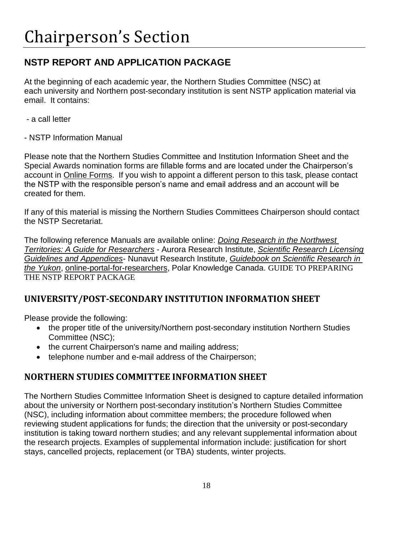# **NSTP REPORT AND APPLICATION PACKAGE**

At the beginning of each academic year, the Northern Studies Committee (NSC) at each university and Northern post-secondary institution is sent NSTP application material via email. It contains:

- a call letter
- NSTP Information Manual

Please note that the Northern Studies Committee and Institution Information Sheet and the Special Awards nomination forms are fillable forms and are located under the Chairperson's account in [Online Forms.](https://nstp-pfsn.smapply.io/) If you wish to appoint a different person to this task, please contact the NSTP with the responsible person's name and email address and an account will be created for them.

If any of this material is missing the Northern Studies Committees Chairperson should contact the NSTP Secretariat.

The following reference Manuals are available online: *[Doing Research in the Northwest](https://nwtresearch.com/sites/default/files/ari_guide_to_research_2019_0.pdf)  Territories: [A Guide for Researchers](https://nwtresearch.com/sites/default/files/ari_guide_to_research_2019_0.pdf)* - Aurora Research Institute, *[Scientific Research Licensing](https://www.nri.nu.ca/licencing-resources)  [Guidelines and Appendices](https://www.nri.nu.ca/licencing-resources)*- Nunavut Research Institute, *[Guidebook on Scientific Research in](http://www.tc.gov.yk.ca/publications/Guidebook_on_Scientific_Research_2013.pdf)  [the Yukon](http://www.tc.gov.yk.ca/publications/Guidebook_on_Scientific_Research_2013.pdf)*, [online-portal-for-researchers,](https://www.canada.ca/en/polar-knowledge/fundingforresearchers.html) Polar Knowledge Canada. GUIDE TO PREPARING THE NSTP REPORT PACKAGE

# **UNIVERSITY/POST-SECONDARY INSTITUTION INFORMATION SHEET**

Please provide the following:

- the proper title of the university/Northern post-secondary institution Northern Studies Committee (NSC);
- the current Chairperson's name and mailing address;
- telephone number and e-mail address of the Chairperson;

# **NORTHERN STUDIES COMMITTEE INFORMATION SHEET**

The Northern Studies Committee Information Sheet is designed to capture detailed information about the university or Northern post-secondary institution's Northern Studies Committee (NSC), including information about committee members; the procedure followed when reviewing student applications for funds; the direction that the university or post-secondary institution is taking toward northern studies; and any relevant supplemental information about the research projects. Examples of supplemental information include: justification for short stays, cancelled projects, replacement (or TBA) students, winter projects.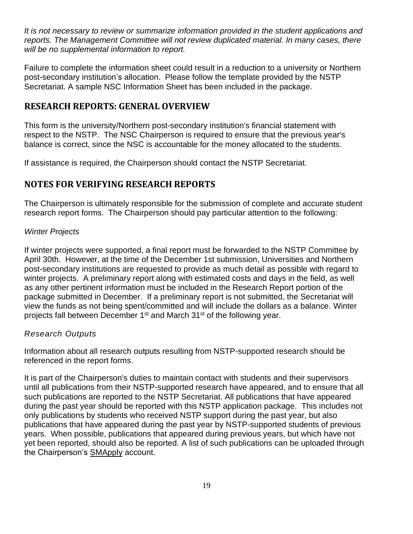*It is not necessary to review or summarize information provided in the student applications and reports. The Management Committee will not review duplicated material. In many cases, there will be no supplemental information to report.* 

Failure to complete the information sheet could result in a reduction to a university or Northern post-secondary institution's allocation. Please follow the template provided by the NSTP Secretariat. A sample NSC Information Sheet has been included in the package.

# **RESEARCH REPORTS: GENERAL OVERVIEW**

This form is the university/Northern post-secondary institution's financial statement with respect to the NSTP. The NSC Chairperson is required to ensure that the previous year's balance is correct, since the NSC is accountable for the money allocated to the students.

If assistance is required, the Chairperson should contact the NSTP Secretariat.

# **NOTES FOR VERIFYING RESEARCH REPORTS**

The Chairperson is ultimately responsible for the submission of complete and accurate student research report forms. The Chairperson should pay particular attention to the following:

#### *Winter Projects*

If winter projects were supported, a final report must be forwarded to the NSTP Committee by April 30th. However, at the time of the December 1st submission, Universities and Northern post-secondary institutions are requested to provide as much detail as possible with regard to winter projects. A preliminary report along with estimated costs and days in the field, as well as any other pertinent information must be included in the Research Report portion of the package submitted in December. If a preliminary report is not submitted, the Secretariat will view the funds as not being spent/committed and will include the dollars as a balance. Winter projects fall between December 1<sup>st</sup> and March 31<sup>st</sup> of the following year.

#### *Research Outputs*

Information about all research outputs resulting from NSTP-supported research should be referenced in the report forms.

It is part of the Chairperson's duties to maintain contact with students and their supervisors until all publications from their NSTP-supported research have appeared, and to ensure that all such publications are reported to the NSTP Secretariat. All publications that have appeared during the past year should be reported with this NSTP application package. This includes not only publications by students who received NSTP support during the past year, but also publications that have appeared during the past year by NSTP-supported students of previous years. When possible, publications that appeared during previous years, but which have not yet been reported, should also be reported. A list of such publications can be uploaded through the Chairperson's [SMApply](https://nstp-pfsn.smapply.io/) account.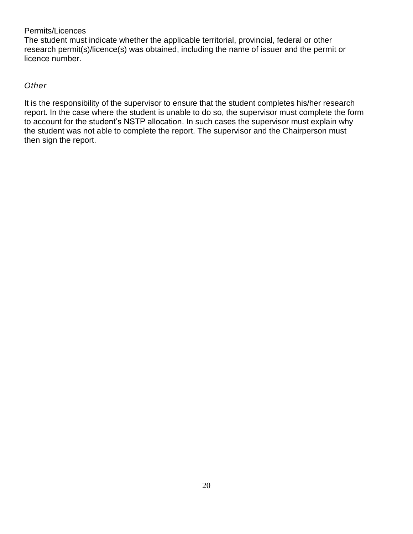#### Permits/Licences

The student must indicate whether the applicable territorial, provincial, federal or other research permit(s)/licence(s) was obtained, including the name of issuer and the permit or licence number.

#### *Other*

It is the responsibility of the supervisor to ensure that the student completes his/her research report. In the case where the student is unable to do so, the supervisor must complete the form to account for the student's NSTP allocation. In such cases the supervisor must explain why the student was not able to complete the report. The supervisor and the Chairperson must then sign the report.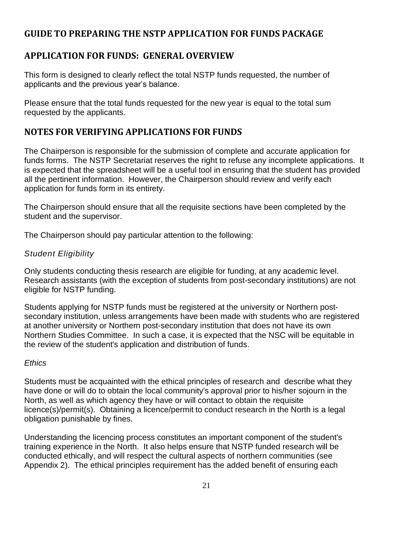# **GUIDE TO PREPARING THE NSTP APPLICATION FOR FUNDS PACKAGE**

# **APPLICATION FOR FUNDS: GENERAL OVERVIEW**

This form is designed to clearly reflect the total NSTP funds requested, the number of applicants and the previous year's balance.

Please ensure that the total funds requested for the new year is equal to the total sum requested by the applicants.

# **NOTES FOR VERIFYING APPLICATIONS FOR FUNDS**

The Chairperson is responsible for the submission of complete and accurate application for funds forms. The NSTP Secretariat reserves the right to refuse any incomplete applications. It is expected that the spreadsheet will be a useful tool in ensuring that the student has provided all the pertinent information. However, the Chairperson should review and verify each application for funds form in its entirety.

The Chairperson should ensure that all the requisite sections have been completed by the student and the supervisor.

The Chairperson should pay particular attention to the following:

# *Student Eligibility*

Only students conducting thesis research are eligible for funding, at any academic level. Research assistants (with the exception of students from post-secondary institutions) are not eligible for NSTP funding.

Students applying for NSTP funds must be registered at the university or Northern postsecondary institution, unless arrangements have been made with students who are registered at another university or Northern post-secondary institution that does not have its own Northern Studies Committee. In such a case, it is expected that the NSC will be equitable in the review of the student's application and distribution of funds.

### *Ethics*

Students must be acquainted with the ethical principles of research and describe what they have done or will do to obtain the local community's approval prior to his/her sojourn in the North, as well as which agency they have or will contact to obtain the requisite licence(s)/permit(s). Obtaining a licence/permit to conduct research in the North is a legal obligation punishable by fines.

Understanding the licencing process constitutes an important component of the student's training experience in the North. It also helps ensure that NSTP funded research will be conducted ethically, and will respect the cultural aspects of northern communities (see Appendix 2). The ethical principles requirement has the added benefit of ensuring each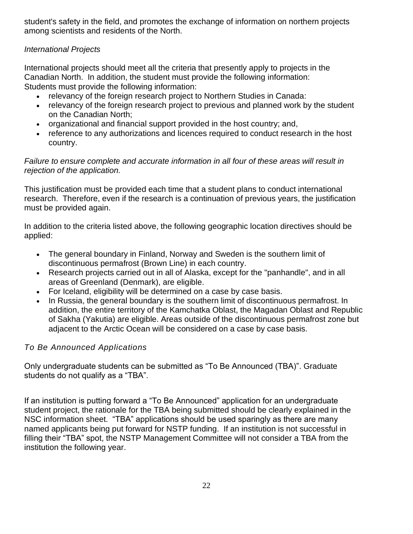student's safety in the field, and promotes the exchange of information on northern projects among scientists and residents of the North.

#### *International Projects*

International projects should meet all the criteria that presently apply to projects in the Canadian North. In addition, the student must provide the following information: Students must provide the following information:

- relevancy of the foreign research project to Northern Studies in Canada:
- relevancy of the foreign research project to previous and planned work by the student on the Canadian North;
- organizational and financial support provided in the host country; and,
- reference to any authorizations and licences required to conduct research in the host country.

#### *Failure to ensure complete and accurate information in all four of these areas will result in rejection of the application.*

This justification must be provided each time that a student plans to conduct international research. Therefore, even if the research is a continuation of previous years, the justification must be provided again.

In addition to the criteria listed above, the following geographic location directives should be applied:

- The general boundary in Finland, Norway and Sweden is the southern limit of discontinuous permafrost (Brown Line) in each country.
- Research projects carried out in all of Alaska, except for the "panhandle", and in all areas of Greenland (Denmark), are eligible.
- For Iceland, eligibility will be determined on a case by case basis.
- In Russia, the general boundary is the southern limit of discontinuous permafrost. In addition, the entire territory of the Kamchatka Oblast, the Magadan Oblast and Republic of Sakha (Yakutia) are eligible. Areas outside of the discontinuous permafrost zone but adjacent to the Arctic Ocean will be considered on a case by case basis.

### *To Be Announced Applications*

Only undergraduate students can be submitted as "To Be Announced (TBA)". Graduate students do not qualify as a "TBA".

If an institution is putting forward a "To Be Announced" application for an undergraduate student project, the rationale for the TBA being submitted should be clearly explained in the NSC information sheet. "TBA" applications should be used sparingly as there are many named applicants being put forward for NSTP funding. If an institution is not successful in filling their "TBA" spot, the NSTP Management Committee will not consider a TBA from the institution the following year.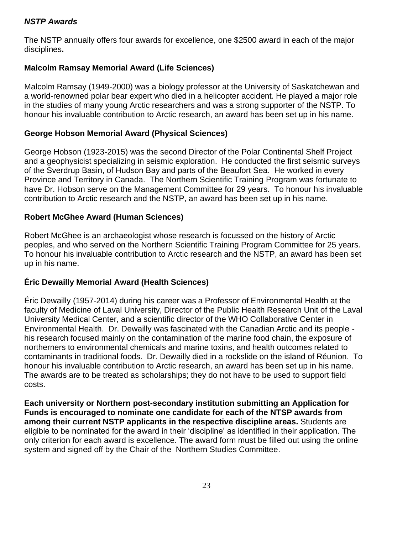#### *NSTP Awards*

The NSTP annually offers four awards for excellence, one \$2500 award in each of the major disciplines**.** 

### **Malcolm Ramsay Memorial Award (Life Sciences)**

Malcolm Ramsay (1949-2000) was a biology professor at the University of Saskatchewan and a world-renowned polar bear expert who died in a helicopter accident. He played a major role in the studies of many young Arctic researchers and was a strong supporter of the NSTP. To honour his invaluable contribution to Arctic research, an award has been set up in his name.

### **George Hobson Memorial Award (Physical Sciences)**

George Hobson (1923-2015) was the second Director of the Polar Continental Shelf Project and a geophysicist specializing in seismic exploration. He conducted the first seismic surveys of the Sverdrup Basin, of Hudson Bay and parts of the Beaufort Sea. He worked in every Province and Territory in Canada. The Northern Scientific Training Program was fortunate to have Dr. Hobson serve on the Management Committee for 29 years. To honour his invaluable contribution to Arctic research and the NSTP, an award has been set up in his name.

#### **Robert McGhee Award (Human Sciences)**

Robert McGhee is an archaeologist whose research is focussed on the history of Arctic peoples, and who served on the Northern Scientific Training Program Committee for 25 years. To honour his invaluable contribution to Arctic research and the NSTP, an award has been set up in his name.

### **Éric Dewailly Memorial Award (Health Sciences)**

Éric Dewailly (1957-2014) during his career was a Professor of Environmental Health at the faculty of Medicine of Laval University, Director of the Public Health Research Unit of the Laval University Medical Center, and a scientific director of the WHO Collaborative Center in Environmental Health. Dr. Dewailly was fascinated with the Canadian Arctic and its people his research focused mainly on the contamination of the marine food chain, the exposure of northerners to environmental chemicals and marine toxins, and health outcomes related to contaminants in traditional foods. Dr. Dewailly died in a rockslide on the island of Réunion. To honour his invaluable contribution to Arctic research, an award has been set up in his name. The awards are to be treated as scholarships; they do not have to be used to support field costs.

**Each university or Northern post-secondary institution submitting an Application for Funds is encouraged to nominate one candidate for each of the NTSP awards from among their current NSTP applicants in the respective discipline areas.** Students are eligible to be nominated for the award in their 'discipline' as identified in their application. The only criterion for each award is excellence. The award form must be filled out using the online system and signed off by the Chair of the Northern Studies Committee.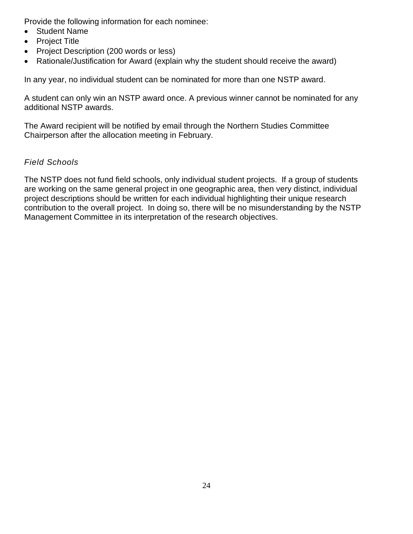Provide the following information for each nominee:

- Student Name
- Project Title
- Project Description (200 words or less)
- Rationale/Justification for Award (explain why the student should receive the award)

In any year, no individual student can be nominated for more than one NSTP award.

A student can only win an NSTP award once. A previous winner cannot be nominated for any additional NSTP awards.

The Award recipient will be notified by email through the Northern Studies Committee Chairperson after the allocation meeting in February.

### *Field Schools*

The NSTP does not fund field schools, only individual student projects. If a group of students are working on the same general project in one geographic area, then very distinct, individual project descriptions should be written for each individual highlighting their unique research contribution to the overall project. In doing so, there will be no misunderstanding by the NSTP Management Committee in its interpretation of the research objectives.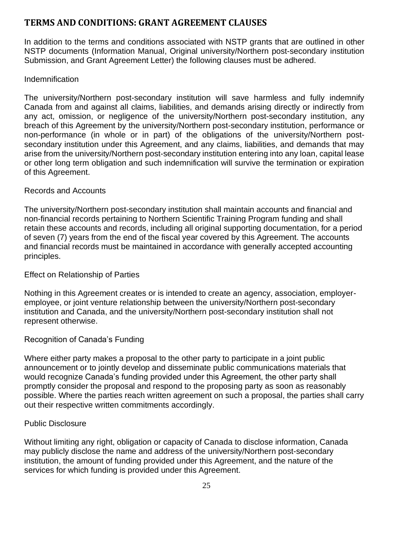# **TERMS AND CONDITIONS: GRANT AGREEMENT CLAUSES**

In addition to the terms and conditions associated with NSTP grants that are outlined in other NSTP documents (Information Manual, Original university/Northern post-secondary institution Submission, and Grant Agreement Letter) the following clauses must be adhered.

### Indemnification

The university/Northern post-secondary institution will save harmless and fully indemnify Canada from and against all claims, liabilities, and demands arising directly or indirectly from any act, omission, or negligence of the university/Northern post-secondary institution, any breach of this Agreement by the university/Northern post-secondary institution, performance or non-performance (in whole or in part) of the obligations of the university/Northern postsecondary institution under this Agreement, and any claims, liabilities, and demands that may arise from the university/Northern post-secondary institution entering into any loan, capital lease or other long term obligation and such indemnification will survive the termination or expiration of this Agreement.

### Records and Accounts

The university/Northern post-secondary institution shall maintain accounts and financial and non-financial records pertaining to Northern Scientific Training Program funding and shall retain these accounts and records, including all original supporting documentation, for a period of seven (7) years from the end of the fiscal year covered by this Agreement. The accounts and financial records must be maintained in accordance with generally accepted accounting principles.

### Effect on Relationship of Parties

Nothing in this Agreement creates or is intended to create an agency, association, employeremployee, or joint venture relationship between the university/Northern post-secondary institution and Canada, and the university/Northern post-secondary institution shall not represent otherwise.

### Recognition of Canada's Funding

Where either party makes a proposal to the other party to participate in a joint public announcement or to jointly develop and disseminate public communications materials that would recognize Canada's funding provided under this Agreement, the other party shall promptly consider the proposal and respond to the proposing party as soon as reasonably possible. Where the parties reach written agreement on such a proposal, the parties shall carry out their respective written commitments accordingly.

### Public Disclosure

Without limiting any right, obligation or capacity of Canada to disclose information, Canada may publicly disclose the name and address of the university/Northern post-secondary institution, the amount of funding provided under this Agreement, and the nature of the services for which funding is provided under this Agreement.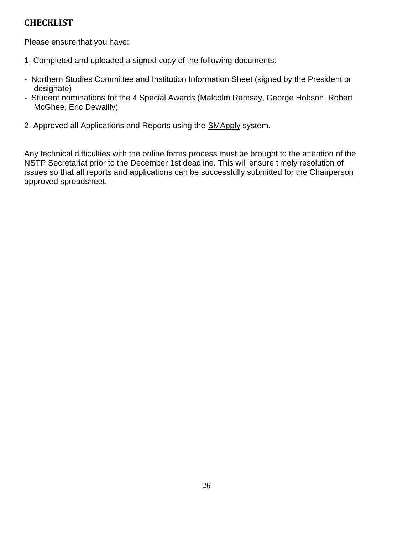# **CHECKLIST**

Please ensure that you have:

- 1. Completed and uploaded a signed copy of the following documents:
- Northern Studies Committee and Institution Information Sheet (signed by the President or designate)
- Student nominations for the 4 Special Awards (Malcolm Ramsay, George Hobson, Robert McGhee, Eric Dewailly)
- 2. Approved all Applications and Reports using the **SMApply** system.

Any technical difficulties with the online forms process must be brought to the attention of the NSTP Secretariat prior to the December 1st deadline. This will ensure timely resolution of issues so that all reports and applications can be successfully submitted for the Chairperson approved spreadsheet.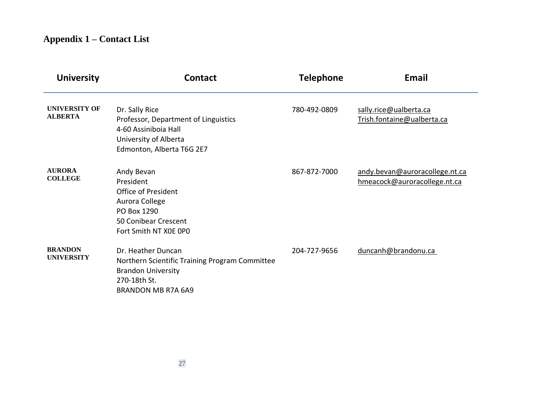# **Appendix 1 – Contact List**

| <b>University</b>                      | <b>Contact</b>                                                                                                                                 | <b>Telephone</b> | <b>Email</b>                                                   |
|----------------------------------------|------------------------------------------------------------------------------------------------------------------------------------------------|------------------|----------------------------------------------------------------|
| <b>UNIVERSITY OF</b><br><b>ALBERTA</b> | Dr. Sally Rice<br>Professor, Department of Linguistics<br>4-60 Assiniboia Hall<br>University of Alberta<br>Edmonton, Alberta T6G 2E7           | 780-492-0809     | sally.rice@ualberta.ca<br>Trish.fontaine@ualberta.ca           |
| <b>AURORA</b><br><b>COLLEGE</b>        | Andy Bevan<br>President<br>Office of President<br>Aurora College<br>PO Box 1290<br>50 Conibear Crescent<br>Fort Smith NT XOE OPO               | 867-872-7000     | andy.bevan@auroracollege.nt.ca<br>hmeacock@auroracollege.nt.ca |
| <b>BRANDON</b><br><b>UNIVERSITY</b>    | Dr. Heather Duncan<br>Northern Scientific Training Program Committee<br><b>Brandon University</b><br>270-18th St.<br><b>BRANDON MB R7A 6A9</b> | 204-727-9656     | duncanh@brandonu.ca                                            |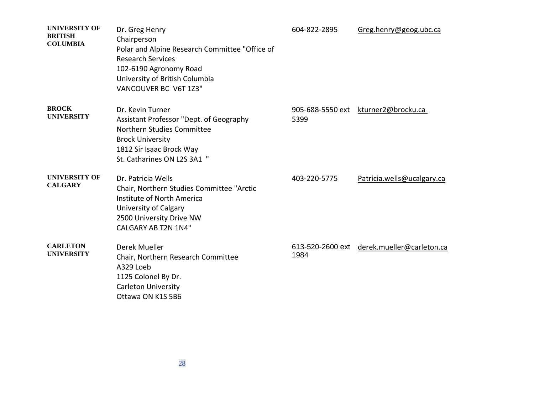| <b>UNIVERSITY OF</b><br><b>BRITISH</b><br><b>COLUMBIA</b> | Dr. Greg Henry<br>Chairperson<br>Polar and Alpine Research Committee "Office of<br><b>Research Services</b><br>102-6190 Agronomy Road<br>University of British Columbia<br>VANCOUVER BC V6T 1Z3" | 604-822-2895             | Greg.henry@geog.ubc.ca     |
|-----------------------------------------------------------|--------------------------------------------------------------------------------------------------------------------------------------------------------------------------------------------------|--------------------------|----------------------------|
| <b>BROCK</b><br><b>UNIVERSITY</b>                         | Dr. Kevin Turner<br>Assistant Professor "Dept. of Geography<br>Northern Studies Committee<br><b>Brock University</b><br>1812 Sir Isaac Brock Way<br>St. Catharines ON L2S 3A1 "                  | 905-688-5550 ext<br>5399 | kturner2@brocku.ca         |
| <b>UNIVERSITY OF</b><br><b>CALGARY</b>                    | Dr. Patricia Wells<br>Chair, Northern Studies Committee "Arctic<br>Institute of North America<br>University of Calgary<br>2500 University Drive NW<br><b>CALGARY AB T2N 1N4"</b>                 | 403-220-5775             | Patricia.wells@ucalgary.ca |
| <b>CARLETON</b><br><b>UNIVERSITY</b>                      | Derek Mueller<br>Chair, Northern Research Committee<br>A329 Loeb<br>1125 Colonel By Dr.<br><b>Carleton University</b><br>Ottawa ON K1S 5B6                                                       | 613-520-2600 ext<br>1984 | derek.mueller@carleton.ca  |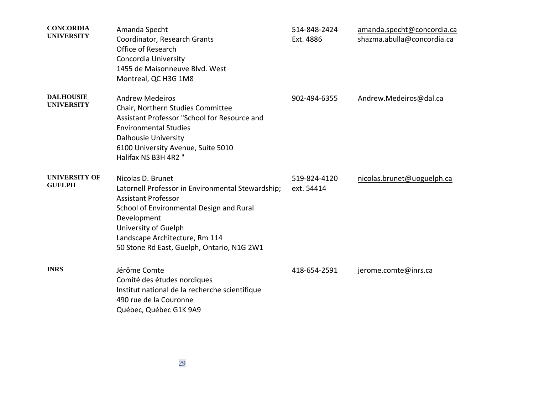| <b>CONCORDIA</b><br><b>UNIVERSITY</b> | Amanda Specht<br>Coordinator, Research Grants<br>Office of Research<br>Concordia University<br>1455 de Maisonneuve Blvd. West                                                                                                                                           | 514-848-2424<br>Ext. 4886  | amanda.specht@concordia.ca<br>shazma.abulla@concordia.ca |
|---------------------------------------|-------------------------------------------------------------------------------------------------------------------------------------------------------------------------------------------------------------------------------------------------------------------------|----------------------------|----------------------------------------------------------|
| <b>DALHOUSIE</b><br><b>UNIVERSITY</b> | Montreal, QC H3G 1M8<br><b>Andrew Medeiros</b><br>Chair, Northern Studies Committee<br>Assistant Professor "School for Resource and<br><b>Environmental Studies</b><br><b>Dalhousie University</b><br>6100 University Avenue, Suite 5010<br>Halifax NS B3H 4R2 "        | 902-494-6355               | Andrew.Medeiros@dal.ca                                   |
| UNIVERSITY OF<br><b>GUELPH</b>        | Nicolas D. Brunet<br>Latornell Professor in Environmental Stewardship;<br><b>Assistant Professor</b><br>School of Environmental Design and Rural<br>Development<br>University of Guelph<br>Landscape Architecture, Rm 114<br>50 Stone Rd East, Guelph, Ontario, N1G 2W1 | 519-824-4120<br>ext. 54414 | nicolas.brunet@uoguelph.ca                               |
| <b>INRS</b>                           | Jérôme Comte<br>Comité des études nordiques<br>Institut national de la recherche scientifique<br>490 rue de la Couronne<br>Québec, Québec G1K 9A9                                                                                                                       | 418-654-2591               | jerome.comte@inrs.ca                                     |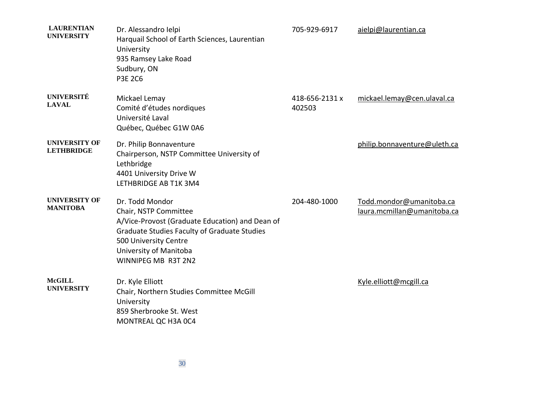| <b>LAURENTIAN</b><br><b>UNIVERSITY</b>    | Dr. Alessandro Ielpi<br>Harquail School of Earth Sciences, Laurentian<br>University<br>935 Ramsey Lake Road<br>Sudbury, ON<br><b>P3E 2C6</b>                                                                                 | 705-929-6917             | aielpi@laurentian.ca                                    |
|-------------------------------------------|------------------------------------------------------------------------------------------------------------------------------------------------------------------------------------------------------------------------------|--------------------------|---------------------------------------------------------|
| <b>UNIVERSITÉ</b><br><b>LAVAL</b>         | Mickael Lemay<br>Comité d'études nordiques<br>Université Laval<br>Québec, Québec G1W 0A6                                                                                                                                     | 418-656-2131 x<br>402503 | mickael.lemay@cen.ulaval.ca                             |
| <b>UNIVERSITY OF</b><br><b>LETHBRIDGE</b> | Dr. Philip Bonnaventure<br>Chairperson, NSTP Committee University of<br>Lethbridge<br>4401 University Drive W<br>LETHBRIDGE AB T1K 3M4                                                                                       |                          | philip.bonnaventure@uleth.ca                            |
| <b>UNIVERSITY OF</b><br><b>MANITOBA</b>   | Dr. Todd Mondor<br>Chair, NSTP Committee<br>A/Vice-Provost (Graduate Education) and Dean of<br><b>Graduate Studies Faculty of Graduate Studies</b><br>500 University Centre<br>University of Manitoba<br>WINNIPEG MB R3T 2N2 | 204-480-1000             | Todd.mondor@umanitoba.ca<br>laura.mcmillan@umanitoba.ca |
| <b>McGILL</b><br><b>UNIVERSITY</b>        | Dr. Kyle Elliott<br>Chair, Northern Studies Committee McGill<br>University<br>859 Sherbrooke St. West<br>MONTREAL QC H3A 0C4                                                                                                 |                          | Kyle.elliott@mcgill.ca                                  |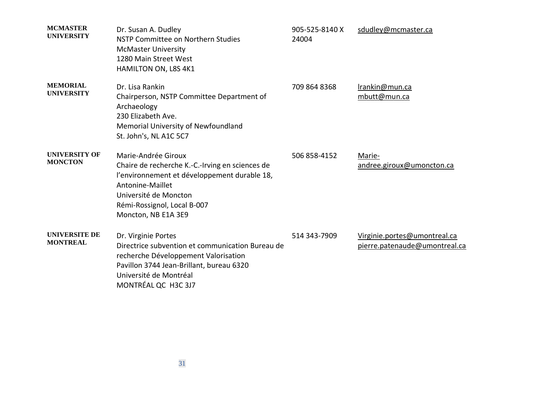| <b>MCMASTER</b><br><b>UNIVERSITY</b>    | Dr. Susan A. Dudley<br>NSTP Committee on Northern Studies<br><b>McMaster University</b><br>1280 Main Street West<br>HAMILTON ON, L8S 4K1                                                                                  | 905-525-8140 X<br>24004 | sdudley@mcmaster.ca                                           |
|-----------------------------------------|---------------------------------------------------------------------------------------------------------------------------------------------------------------------------------------------------------------------------|-------------------------|---------------------------------------------------------------|
| <b>MEMORIAL</b><br><b>UNIVERSITY</b>    | Dr. Lisa Rankin<br>Chairperson, NSTP Committee Department of<br>Archaeology<br>230 Elizabeth Ave.<br>Memorial University of Newfoundland<br>St. John's, NL A1C 5C7                                                        | 709 864 8368            | Irankin@mun.ca<br>mbutt@mun.ca                                |
| <b>UNIVERSITY OF</b><br><b>MONCTON</b>  | Marie-Andrée Giroux<br>Chaire de recherche K.-C.-Irving en sciences de<br>l'environnement et développement durable 18,<br>Antonine-Maillet<br>Université de Moncton<br>Rémi-Rossignol, Local B-007<br>Moncton, NB E1A 3E9 | 506 858-4152            | Marie-<br>andree.giroux@umoncton.ca                           |
| <b>UNIVERSITE DE</b><br><b>MONTREAL</b> | Dr. Virginie Portes<br>Directrice subvention et communication Bureau de<br>recherche Développement Valorisation<br>Pavillon 3744 Jean-Brillant, bureau 6320<br>Université de Montréal<br>MONTRÉAL QC H3C 3J7              | 514 343-7909            | Virginie.portes@umontreal.ca<br>pierre.patenaude@umontreal.ca |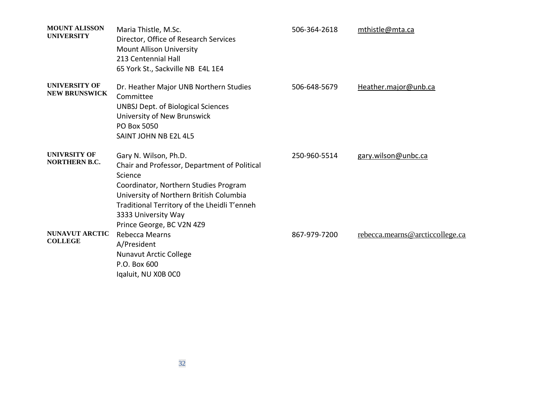| <b>MOUNT ALISSON</b><br><b>UNIVERSITY</b>    | Maria Thistle, M.Sc.<br>Director, Office of Research Services<br><b>Mount Allison University</b><br>213 Centennial Hall<br>65 York St., Sackville NB E4L 1E4                                                                                                             | 506-364-2618 | mthistle@mta.ca                 |
|----------------------------------------------|--------------------------------------------------------------------------------------------------------------------------------------------------------------------------------------------------------------------------------------------------------------------------|--------------|---------------------------------|
| <b>UNIVERSITY OF</b><br><b>NEW BRUNSWICK</b> | Dr. Heather Major UNB Northern Studies<br>Committee<br><b>UNBSJ Dept. of Biological Sciences</b><br>University of New Brunswick<br>PO Box 5050<br>SAINT JOHN NB E2L 4L5                                                                                                  | 506-648-5679 | Heather.major@unb.ca            |
| <b>UNIVRSITY OF</b><br><b>NORTHERN B.C.</b>  | Gary N. Wilson, Ph.D.<br>Chair and Professor, Department of Political<br>Science<br>Coordinator, Northern Studies Program<br>University of Northern British Columbia<br>Traditional Territory of the Lheidli T'enneh<br>3333 University Way<br>Prince George, BC V2N 4Z9 | 250-960-5514 | gary.wilson@unbc.ca             |
| <b>NUNAVUT ARCTIC</b><br><b>COLLEGE</b>      | Rebecca Mearns<br>A/President<br><b>Nunavut Arctic College</b><br>P.O. Box 600<br>Igaluit, NU X0B OCO                                                                                                                                                                    | 867-979-7200 | rebecca.mearns@arcticcollege.ca |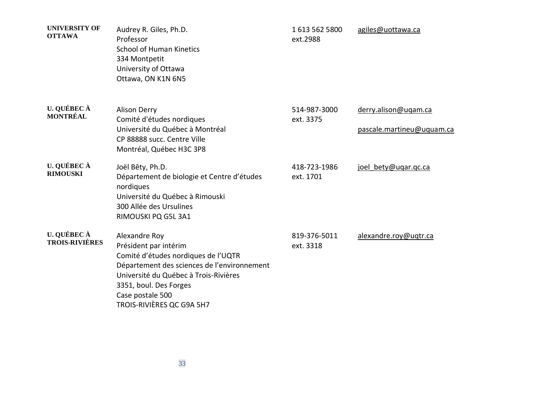| <b>UNIVERSITY OF</b><br><b>OTTAWA</b> | Audrey R. Giles, Ph.D.<br>Professor<br><b>School of Human Kinetics</b><br>334 Montpetit<br>University of Ottawa<br>Ottawa, ON K1N 6N5                                                                                                            | 16135625800<br>ext.2988   | agiles@uottawa.ca                                 |
|---------------------------------------|--------------------------------------------------------------------------------------------------------------------------------------------------------------------------------------------------------------------------------------------------|---------------------------|---------------------------------------------------|
| U. QUÉBEC À<br><b>MONTRÉAL</b>        | <b>Alison Derry</b><br>Comité d'études nordiques<br>Université du Québec à Montréal<br>CP 88888 succ. Centre Ville<br>Montréal, Québec H3C 3P8                                                                                                   | 514-987-3000<br>ext. 3375 | derry.alison@uqam.ca<br>pascale.martineu@uquam.ca |
| U. QUÉBEC À<br><b>RIMOUSKI</b>        | Joël Bêty, Ph.D.<br>Département de biologie et Centre d'études<br>nordiques<br>Université du Québec à Rimouski<br>300 Allée des Ursulines<br>RIMOUSKI PQ G5L 3A1                                                                                 | 418-723-1986<br>ext. 1701 | joel bety@ugar.gc.ca                              |
| U. QUÉBEC À<br><b>TROIS-RIVIÈRES</b>  | Alexandre Roy<br>Président par intérim<br>Comité d'études nordiques de l'UQTR<br>Département des sciences de l'environnement<br>Université du Québec à Trois-Rivières<br>3351, boul. Des Forges<br>Case postale 500<br>TROIS-RIVIÈRES QC G9A 5H7 | 819-376-5011<br>ext. 3318 | alexandre.roy@uqtr.ca                             |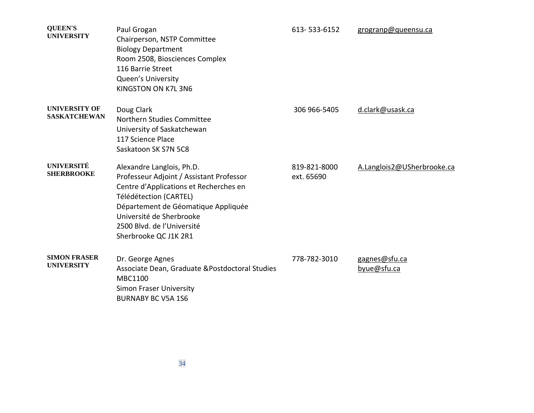| <b>QUEEN'S</b><br><b>UNIVERSITY</b>         | Paul Grogan<br>Chairperson, NSTP Committee<br><b>Biology Department</b><br>Room 2508, Biosciences Complex<br>116 Barrie Street<br>Queen's University<br>KINGSTON ON K7L 3N6                                                                                         | 613-533-6152               | grogranp@queensu.ca          |
|---------------------------------------------|---------------------------------------------------------------------------------------------------------------------------------------------------------------------------------------------------------------------------------------------------------------------|----------------------------|------------------------------|
| <b>UNIVERSITY OF</b><br><b>SASKATCHEWAN</b> | Doug Clark<br>Northern Studies Committee<br>University of Saskatchewan<br>117 Science Place<br>Saskatoon SK S7N 5C8                                                                                                                                                 | 306 966-5405               | d.clark@usask.ca             |
| <b>UNIVERSITÉ</b><br><b>SHERBROOKE</b>      | Alexandre Langlois, Ph.D.<br>Professeur Adjoint / Assistant Professor<br>Centre d'Applications et Recherches en<br>Télédétection (CARTEL)<br>Département de Géomatique Appliquée<br>Université de Sherbrooke<br>2500 Blvd. de l'Université<br>Sherbrooke QC J1K 2R1 | 819-821-8000<br>ext. 65690 | A.Langlois2@USherbrooke.ca   |
| <b>SIMON FRASER</b><br><b>UNIVERSITY</b>    | Dr. George Agnes<br>Associate Dean, Graduate & Postdoctoral Studies<br><b>MBC1100</b><br><b>Simon Fraser University</b><br><b>BURNABY BC V5A 1S6</b>                                                                                                                | 778-782-3010               | gagnes@sfu.ca<br>byue@sfu.ca |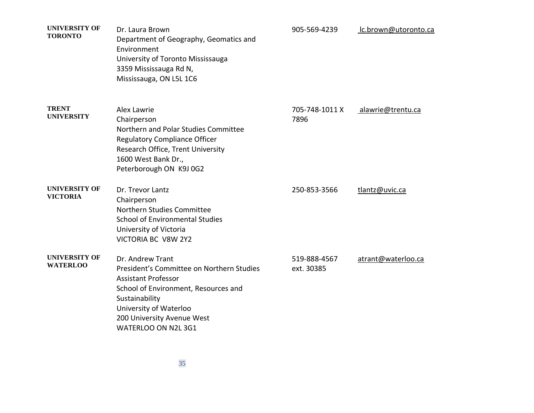| <b>UNIVERSITY OF</b><br><b>TORONTO</b>  | Dr. Laura Brown<br>Department of Geography, Geomatics and<br>Environment<br>University of Toronto Mississauga<br>3359 Mississauga Rd N,<br>Mississauga, ON L5L 1C6                                                                   | 905-569-4239               | lc.brown@utoronto.ca |
|-----------------------------------------|--------------------------------------------------------------------------------------------------------------------------------------------------------------------------------------------------------------------------------------|----------------------------|----------------------|
| <b>TRENT</b><br><b>UNIVERSITY</b>       | Alex Lawrie<br>Chairperson<br>Northern and Polar Studies Committee<br><b>Regulatory Compliance Officer</b><br>Research Office, Trent University<br>1600 West Bank Dr.,<br>Peterborough ON K9J 0G2                                    | 705-748-1011 X<br>7896     | alawrie@trentu.ca    |
| <b>UNIVERSITY OF</b><br><b>VICTORIA</b> | Dr. Trevor Lantz<br>Chairperson<br>Northern Studies Committee<br><b>School of Environmental Studies</b><br>University of Victoria<br>VICTORIA BC V8W 2Y2                                                                             | 250-853-3566               | tlantz@uvic.ca       |
| <b>UNIVERSITY OF</b><br><b>WATERLOO</b> | Dr. Andrew Trant<br>President's Committee on Northern Studies<br><b>Assistant Professor</b><br>School of Environment, Resources and<br>Sustainability<br>University of Waterloo<br>200 University Avenue West<br>WATERLOO ON N2L 3G1 | 519-888-4567<br>ext. 30385 | atrant@waterloo.ca   |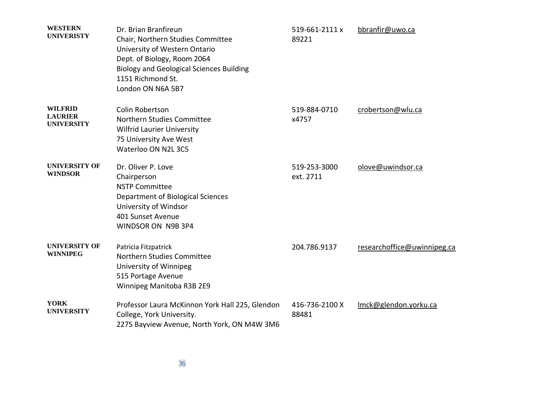| <b>WESTERN</b><br><b>UNIVERISTY</b>                   | Dr. Brian Branfireun<br>Chair, Northern Studies Committee<br>University of Western Ontario<br>Dept. of Biology, Room 2064<br><b>Biology and Geological Sciences Building</b><br>1151 Richmond St.<br>London ON N6A 5B7 | 519-661-2111 x<br>89221   | bbranfir@uwo.ca             |
|-------------------------------------------------------|------------------------------------------------------------------------------------------------------------------------------------------------------------------------------------------------------------------------|---------------------------|-----------------------------|
| <b>WILFRID</b><br><b>LAURIER</b><br><b>UNIVERSITY</b> | <b>Colin Robertson</b><br>Northern Studies Committee<br><b>Wilfrid Laurier University</b><br>75 University Ave West<br>Waterloo ON N2L 3C5                                                                             | 519-884-0710<br>x4757     | crobertson@wlu.ca           |
| <b>UNIVERSITY OF</b><br><b>WINDSOR</b>                | Dr. Oliver P. Love<br>Chairperson<br><b>NSTP Committee</b><br>Department of Biological Sciences<br>University of Windsor<br>401 Sunset Avenue<br>WINDSOR ON N9B 3P4                                                    | 519-253-3000<br>ext. 2711 | olove@uwindsor.ca           |
| <b>UNIVERSITY OF</b><br><b>WINNIPEG</b>               | Patricia Fitzpatrick<br>Northern Studies Committee<br>University of Winnipeg<br>515 Portage Avenue<br>Winnipeg Manitoba R3B 2E9                                                                                        | 204.786.9137              | researchoffice@uwinnipeg.ca |
| <b>YORK</b><br><b>UNIVERSITY</b>                      | Professor Laura McKinnon York Hall 225, Glendon<br>College, York University.<br>2275 Bayview Avenue, North York, ON M4W 3M6                                                                                            | 416-736-2100 X<br>88481   | Imck@glendon.yorku.ca       |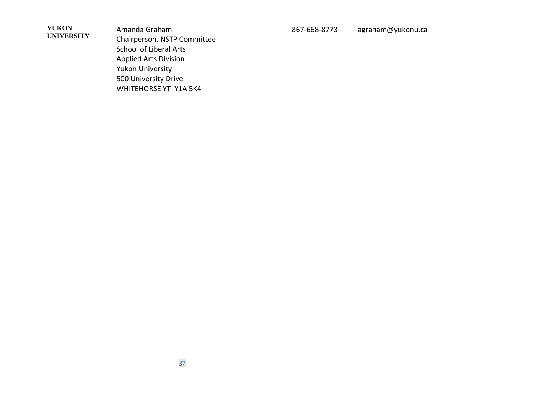**YUKON UNIVERSITY**

Amanda Graham Chairperson, NSTP Committee School of Liberal Arts Applied Arts Division Yukon University 500 University Drive WHITEHORSE YT Y1A 5K4

867-668-8773 [agraham@yukonu.ca](mailto:agraham@yukonu.ca)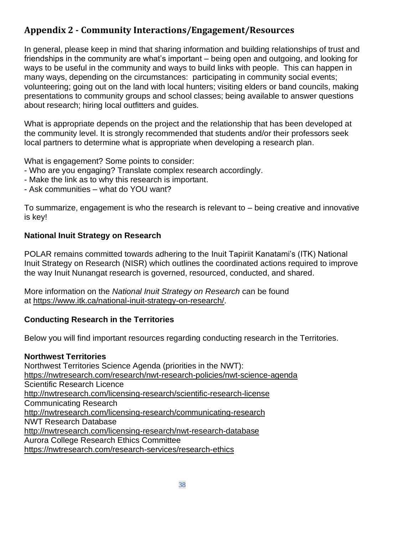# **Appendix 2 - Community Interactions/Engagement/Resources**

In general, please keep in mind that sharing information and building relationships of trust and friendships in the community are what's important – being open and outgoing, and looking for ways to be useful in the community and ways to build links with people. This can happen in many ways, depending on the circumstances: participating in community social events; volunteering; going out on the land with local hunters; visiting elders or band councils, making presentations to community groups and school classes; being available to answer questions about research; hiring local outfitters and guides.

What is appropriate depends on the project and the relationship that has been developed at the community level. It is strongly recommended that students and/or their professors seek local partners to determine what is appropriate when developing a research plan.

What is engagement? Some points to consider:

- Who are you engaging? Translate complex research accordingly.
- Make the link as to why this research is important.
- Ask communities what do YOU want?

To summarize, engagement is who the research is relevant to – being creative and innovative is key!

### **National Inuit Strategy on Research**

POLAR remains committed towards adhering to the Inuit Tapiriit Kanatami's (ITK) National Inuit Strategy on Research (NISR) which outlines the coordinated actions required to improve the way Inuit Nunangat research is governed, resourced, conducted, and shared.

More information on the *National Inuit Strategy on Research* can be found at [https://www.itk.ca/national-inuit-strategy-on-research/.](https://www.itk.ca/national-inuit-strategy-on-research/)

# **Conducting Research in the Territories**

Below you will find important resources regarding conducting research in the Territories.

#### **Northwest Territories**

Northwest Territories Science Agenda (priorities in the NWT): <https://nwtresearch.com/research/nwt-research-policies/nwt-science-agenda> Scientific Research Licence <http://nwtresearch.com/licensing-research/scientific-research-license> Communicating Research <http://nwtresearch.com/licensing-research/communicating-research> NWT Research Database <http://nwtresearch.com/licensing-research/nwt-research-database> Aurora College Research Ethics Committee <https://nwtresearch.com/research-services/research-ethics>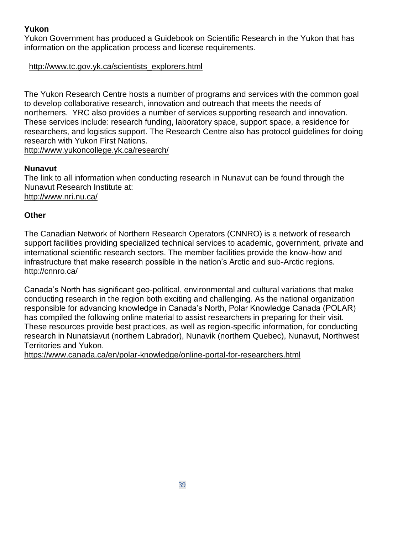### **Yukon**

Yukon Government has produced a Guidebook on Scientific Research in the Yukon that has information on the application process and license requirements.

#### [http://www.tc.gov.yk.ca/scientists\\_explorers.html](http://www.tc.gov.yk.ca/scientists_explorers.html)

The Yukon Research Centre hosts a number of programs and services with the common goal to develop collaborative research, innovation and outreach that meets the needs of northerners. YRC also provides a number of services supporting research and innovation. These services include: research funding, laboratory space, support space, a residence for researchers, and logistics support. The Research Centre also has protocol guidelines for doing research with Yukon First Nations. <http://www.yukoncollege.yk.ca/research/>

### **Nunavut**

The link to all information when conducting research in Nunavut can be found through the Nunavut Research Institute at: <http://www.nri.nu.ca/>

### **Other**

The Canadian Network of Northern Research Operators (CNNRO) is a network of research support facilities providing specialized technical services to academic, government, private and international scientific research sectors. The member facilities provide the know-how and infrastructure that make research possible in the nation's Arctic and sub-Arctic regions. <http://cnnro.ca/>

Canada's North has significant geo-political, environmental and cultural variations that make conducting research in the region both exciting and challenging. As the national organization responsible for advancing knowledge in Canada's North, Polar Knowledge Canada (POLAR) has compiled the following online material to assist researchers in preparing for their visit. These resources provide best practices, as well as region-specific information, for conducting research in Nunatsiavut (northern Labrador), Nunavik (northern Quebec), Nunavut, Northwest Territories and Yukon.

<https://www.canada.ca/en/polar-knowledge/online-portal-for-researchers.html>